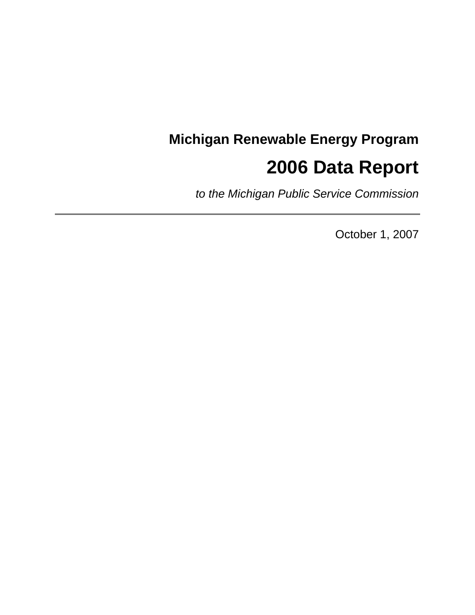# **Michigan Renewable Energy Program 2006 Data Report**

*to the Michigan Public Service Commission*

October 1, 2007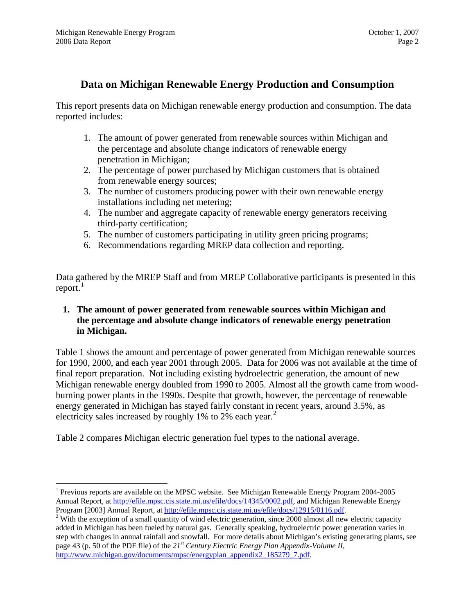# **Data on Michigan Renewable Energy Production and Consumption**

This report presents data on Michigan renewable energy production and consumption. The data reported includes:

- 1. The amount of power generated from renewable sources within Michigan and the percentage and absolute change indicators of renewable energy penetration in Michigan;
- 2. The percentage of power purchased by Michigan customers that is obtained from renewable energy sources;
- 3. The number of customers producing power with their own renewable energy installations including net metering;
- 4. The number and aggregate capacity of renewable energy generators receiving third-party certification;
- 5. The number of customers participating in utility green pricing programs;
- 6. Recommendations regarding MREP data collection and reporting.

Data gathered by the MREP Staff and from MREP Collaborative participants is presented in this report. $1$ 

# **1. The amount of power generated from renewable sources within Michigan and the percentage and absolute change indicators of renewable energy penetration in Michigan.**

Table 1 shows the amount and percentage of power generated from Michigan renewable sources for 1990, 2000, and each year 2001 through 2005. Data for 2006 was not available at the time of final report preparation. Not including existing hydroelectric generation, the amount of new Michigan renewable energy doubled from 1990 to 2005. Almost all the growth came from woodburning power plants in the 1990s. Despite that growth, however, the percentage of renewable energy generated in Michigan has stayed fairly constant in recent years, around 3.5%, as electricity sales increased by roughly 1% to [2](#page-1-1)% each year.<sup>2</sup>

Table 2 compares Michigan electric generation fuel types to the national average.

<sup>1</sup> Previous reports are available on the MPSC website. See Michigan Renewable Energy Program 2004-2005 Annual Report, at <http://efile.mpsc.cis.state.mi.us/efile/docs/14345/0002.pdf>, and Michigan Renewable Energy Program [2003] Annual Report, at<http://efile.mpsc.cis.state.mi.us/efile/docs/12915/0116.pdf>. 2

<span id="page-1-1"></span><span id="page-1-0"></span><sup>&</sup>lt;sup>2</sup> With the exception of a small quantity of wind electric generation, since 2000 almost all new electric capacity added in Michigan has been fueled by natural gas. Generally speaking, hydroelectric power generation varies in step with changes in annual rainfall and snowfall. For more details about Michigan's existing generating plants, see page 43 (p. 50 of the PDF file) of the *21st Century Electric Energy Plan Appendix-Volume II,* [http://www.michigan.gov/documents/mpsc/energyplan\\_appendix2\\_185279\\_7.pdf.](http://www.michigan.gov/documents/mpsc/energyplan_appendix2_185279_7.pdf)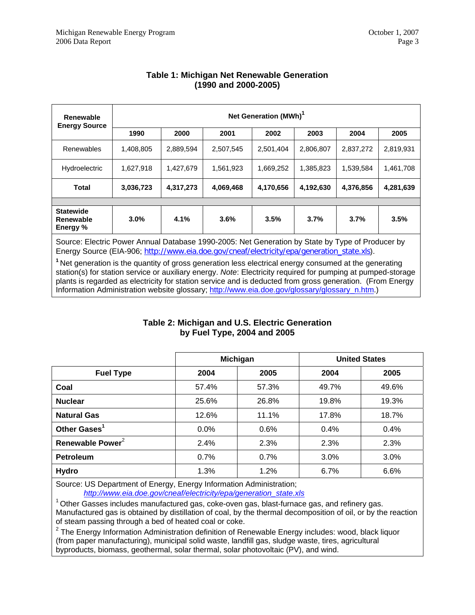| Renewable<br><b>Energy Source</b>                | Net Generation (MWh) <sup>1</sup> |           |           |           |           |           |           |  |  |
|--------------------------------------------------|-----------------------------------|-----------|-----------|-----------|-----------|-----------|-----------|--|--|
|                                                  | 1990                              | 2000      | 2001      | 2002      | 2003      | 2004      | 2005      |  |  |
| Renewables                                       | 1,408,805                         | 2,889,594 | 2,507,545 | 2,501,404 | 2,806,807 | 2,837,272 | 2,819,931 |  |  |
| Hydroelectric                                    | 1,627,918                         | 1,427,679 | 1,561,923 | 1,669,252 | 1,385,823 | 1,539,584 | 1,461,708 |  |  |
| <b>Total</b>                                     | 3,036,723                         | 4,317,273 | 4,069,468 | 4,170,656 | 4,192,630 | 4,376,856 | 4,281,639 |  |  |
|                                                  |                                   |           |           |           |           |           |           |  |  |
| <b>Statewide</b><br><b>Renewable</b><br>Energy % | 3.0%                              | 4.1%      | 3.6%      | 3.5%      | 3.7%      | 3.7%      | 3.5%      |  |  |

# **Table 1: Michigan Net Renewable Generation (1990 and 2000-2005)**

Source: Electric Power Annual Database 1990-2005: Net Generation by State by Type of Producer by Energy Source (EIA-906; [http://www.eia.doe.gov/cneaf/electricity/epa/generation\\_state.xls](http://www.eia.doe.gov/cneaf/electricity/epa/generation_state.xls)).

<sup>1</sup>Net generation is the quantity of gross generation less electrical energy consumed at the generating station(s) for station service or auxiliary energy. *Note*: Electricity required for pumping at pumped-storage plants is regarded as electricity for station service and is deducted from gross generation. (From Energy Information Administration website glossary; [http://www.eia.doe.gov/glossary/glossary\\_n.htm](http://www.eia.doe.gov/glossary/glossary_n.htm).)

#### **Table 2: Michigan and U.S. Electric Generation by Fuel Type, 2004 and 2005**

|                              |       | Michigan | <b>United States</b> |       |  |  |
|------------------------------|-------|----------|----------------------|-------|--|--|
| <b>Fuel Type</b>             | 2004  | 2005     | 2004                 | 2005  |  |  |
| Coal                         | 57.4% | 57.3%    | 49.7%                | 49.6% |  |  |
| <b>Nuclear</b>               | 25.6% | 26.8%    | 19.8%                | 19.3% |  |  |
| <b>Natural Gas</b>           | 12.6% | 11.1%    | 17.8%                | 18.7% |  |  |
| Other Gases <sup>1</sup>     | 0.0%  | 0.6%     | 0.4%                 | 0.4%  |  |  |
| Renewable Power <sup>2</sup> | 2.4%  | 2.3%     | 2.3%                 | 2.3%  |  |  |
| <b>Petroleum</b>             | 0.7%  | 0.7%     | 3.0%                 | 3.0%  |  |  |
| <b>Hydro</b>                 | 1.3%  | 1.2%     | 6.7%                 | 6.6%  |  |  |

Source: US Department of Energy, Energy Information Administration; *[http://www.eia.doe.gov/cneaf/electricity/epa/generation\\_state.xls](http://www.eia.doe.gov/cneaf/electricity/epa/generation_state.xls)*

 $1$  Other Gasses includes manufactured gas, coke-oven gas, blast-furnace gas, and refinery gas. Manufactured gas is obtained by distillation of coal, by the thermal decomposition of oil, or by the reaction of steam passing through a bed of heated coal or coke.

 $2$  The Energy Information Administration definition of Renewable Energy includes: wood, black liquor (from paper manufacturing), municipal solid waste, landfill gas, sludge waste, tires, agricultural byproducts, biomass, geothermal, solar thermal, solar photovoltaic (PV), and wind.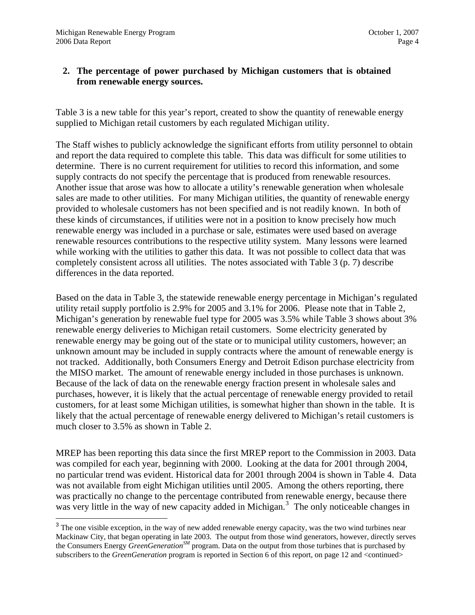$\overline{a}$ 

# <span id="page-3-0"></span>**2. The percentage of power purchased by Michigan customers that is obtained from renewable energy sources.**

Table 3 is a new table for this year's report, created to show the quantity of renewable energy supplied to Michigan retail customers by each regulated Michigan utility.

The Staff wishes to publicly acknowledge the significant efforts from utility personnel to obtain and report the data required to complete this table. This data was difficult for some utilities to determine. There is no current requirement for utilities to record this information, and some supply contracts do not specify the percentage that is produced from renewable resources. Another issue that arose was how to allocate a utility's renewable generation when wholesale sales are made to other utilities. For many Michigan utilities, the quantity of renewable energy provided to wholesale customers has not been specified and is not readily known. In both of these kinds of circumstances, if utilities were not in a position to know precisely how much renewable energy was included in a purchase or sale, estimates were used based on average renewable resources contributions to the respective utility system. Many lessons were learned while working with the utilities to gather this data. It was not possible to collect data that was completely consistent across all utilities. The notes associated with Table 3 (p. 7) describe differences in the data reported.

Based on the data in Table 3, the statewide renewable energy percentage in Michigan's regulated utility retail supply portfolio is 2.9% for 2005 and 3.1% for 2006. Please note that in Table 2, Michigan's generation by renewable fuel type for 2005 was 3.5% while Table 3 shows about 3% renewable energy deliveries to Michigan retail customers. Some electricity generated by renewable energy may be going out of the state or to municipal utility customers, however; an unknown amount may be included in supply contracts where the amount of renewable energy is not tracked. Additionally, both Consumers Energy and Detroit Edison purchase electricity from the MISO market. The amount of renewable energy included in those purchases is unknown. Because of the lack of data on the renewable energy fraction present in wholesale sales and purchases, however, it is likely that the actual percentage of renewable energy provided to retail customers, for at least some Michigan utilities, is somewhat higher than shown in the table. It is likely that the actual percentage of renewable energy delivered to Michigan's retail customers is much closer to 3.5% as shown in Table 2.

MREP has been reporting this data since the first MREP report to the Commission in 2003. Data was compiled for each year, beginning with 2000. Looking at the data for 2001 through 2004, no particular trend was evident. Historical data for 2001 through 2004 is shown in Table 4. Data was not available from eight Michigan utilities until 2005. Among the others reporting, there was practically no change to the percentage contributed from renewable energy, because there was very little in the way of new capacity added in Michigan.<sup>[3](#page-3-0)</sup> The only noticeable changes in

<sup>&</sup>lt;sup>3</sup> The one visible exception, in the way of new added renewable energy capacity, was the two wind turbines near Mackinaw City, that began operating in late 2003. The output from those wind generators, however, directly serves the Consumers Energy *GreenGenerationSM* program. Data on the output from those turbines that is purchased by subscribers to the *GreenGeneration* program is reported in Section 6 of this report, on page 12 and <continued>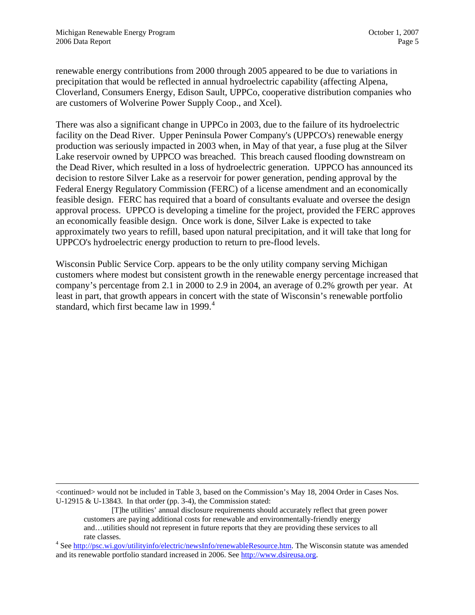<span id="page-4-0"></span>renewable energy contributions from 2000 through 2005 appeared to be due to variations in precipitation that would be reflected in annual hydroelectric capability (affecting Alpena, Cloverland, Consumers Energy, Edison Sault, UPPCo, cooperative distribution companies who are customers of Wolverine Power Supply Coop., and Xcel).

There was also a significant change in UPPCo in 2003, due to the failure of its hydroelectric facility on the Dead River. Upper Peninsula Power Company's (UPPCO's) renewable energy production was seriously impacted in 2003 when, in May of that year, a fuse plug at the Silver Lake reservoir owned by UPPCO was breached. This breach caused flooding downstream on the Dead River, which resulted in a loss of hydroelectric generation. UPPCO has announced its decision to restore Silver Lake as a reservoir for power generation, pending approval by the Federal Energy Regulatory Commission (FERC) of a license amendment and an economically feasible design. FERC has required that a board of consultants evaluate and oversee the design approval process. UPPCO is developing a timeline for the project, provided the FERC approves an economically feasible design. Once work is done, Silver Lake is expected to take approximately two years to refill, based upon natural precipitation, and it will take that long for UPPCO's hydroelectric energy production to return to pre-flood levels.

Wisconsin Public Service Corp. appears to be the only utility company serving Michigan customers where modest but consistent growth in the renewable energy percentage increased that company's percentage from 2.1 in 2000 to 2.9 in 2004, an average of 0.2% growth per year. At least in part, that growth appears in concert with the state of Wisconsin's renewable portfolio standard, which first became law in 1999. $4$ 

<continued> would not be included in Table 3, based on the Commission's May 18, 2004 Order in Cases Nos. U-12915 & U-13843. In that order (pp. 3-4), the Commission stated:

[T]he utilities' annual disclosure requirements should accurately reflect that green power customers are paying additional costs for renewable and environmentally-friendly energy and…utilities should not represent in future reports that they are providing these services to all

rate classes.<br><sup>4</sup> See [http://psc.wi.gov/utilityinfo/electric/newsInfo/renewableResource.htm.](http://psc.wi.gov/utilityinfo/electric/newsInfo/renewableResource.htm) The Wisconsin statute was amended and its renewable portfolio standard increased in 2006. See [http://www.dsireusa.org.](http://www.dsireusa.org/)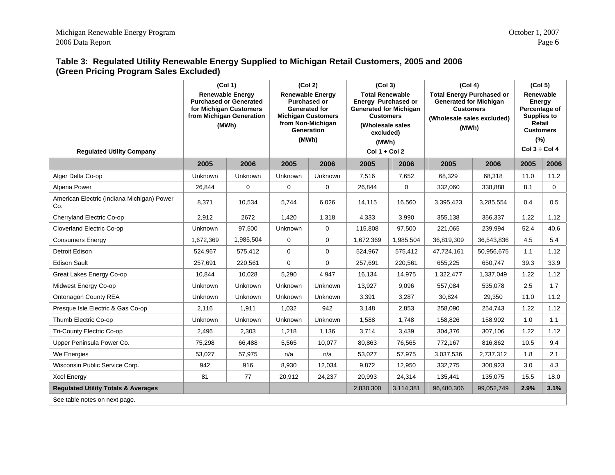# **Table 3: Regulated Utility Renewable Energy Supplied to Michigan Retail Customers, 2005 and 2006 (Green Pricing Program Sales Excluded)**

|                                                                                                                                                             | (Col 1)   |                | (Col 2)                                                                                                                                         |                | (Col 3)                                                                                                                                                         |             | (Col 4)                                                                                                                      |            | (Col 5)                                                                                                               |          |
|-------------------------------------------------------------------------------------------------------------------------------------------------------------|-----------|----------------|-------------------------------------------------------------------------------------------------------------------------------------------------|----------------|-----------------------------------------------------------------------------------------------------------------------------------------------------------------|-------------|------------------------------------------------------------------------------------------------------------------------------|------------|-----------------------------------------------------------------------------------------------------------------------|----------|
| <b>Renewable Energy</b><br><b>Purchased or Generated</b><br>for Michigan Customers<br>from Michigan Generation<br>(MWh)<br><b>Regulated Utility Company</b> |           |                | <b>Renewable Energy</b><br><b>Purchased or</b><br><b>Generated for</b><br><b>Michigan Customers</b><br>from Non-Michigan<br>Generation<br>(MWh) |                | <b>Total Renewable</b><br>Energy Purchased or<br><b>Generated for Michigan</b><br><b>Customers</b><br>(Wholesale sales<br>excluded)<br>(MWh)<br>$Col 1 + Col 2$ |             | <b>Total Energy Purchased or</b><br><b>Generated for Michigan</b><br><b>Customers</b><br>(Wholesale sales excluded)<br>(MWh) |            | Renewable<br>Energy<br>Percentage of<br><b>Supplies to</b><br>Retail<br><b>Customers</b><br>(%)<br>Col $3 \div$ Col 4 |          |
|                                                                                                                                                             | 2005      | 2006           | 2005                                                                                                                                            | 2006           | 2005                                                                                                                                                            | 2006        | 2005                                                                                                                         | 2006       | 2005                                                                                                                  | 2006     |
| Alger Delta Co-op                                                                                                                                           | Unknown   | Unknown        | Unknown                                                                                                                                         | <b>Unknown</b> | 7,516                                                                                                                                                           | 7,652       | 68,329                                                                                                                       | 68,318     | 11.0                                                                                                                  | 11.2     |
| Alpena Power                                                                                                                                                | 26,844    | 0              | $\mathbf 0$                                                                                                                                     | 0              | 26,844                                                                                                                                                          | $\mathbf 0$ | 332,060                                                                                                                      | 338,888    | 8.1                                                                                                                   | $\Omega$ |
| American Electric (Indiana Michigan) Power<br>Co.                                                                                                           | 8,371     | 10,534         | 5,744                                                                                                                                           | 6,026          | 14,115                                                                                                                                                          | 16,560      | 3,395,423                                                                                                                    | 3,285,554  | 0.4                                                                                                                   | 0.5      |
| Cherryland Electric Co-op                                                                                                                                   | 2,912     | 2672           | 1,420                                                                                                                                           | 1,318          | 4,333                                                                                                                                                           | 3,990       | 355,138                                                                                                                      | 356,337    | 1.22                                                                                                                  | 1.12     |
| Cloverland Electric Co-op                                                                                                                                   | Unknown   | 97,500         | Unknown                                                                                                                                         | 0              | 115,808                                                                                                                                                         | 97,500      | 221,065                                                                                                                      | 239,994    | 52.4                                                                                                                  | 40.6     |
| <b>Consumers Energy</b>                                                                                                                                     | 1,672,369 | 1,985,504      | $\mathbf 0$                                                                                                                                     | 0              | 1,672,369                                                                                                                                                       | 1,985,504   | 36,819,309                                                                                                                   | 36,543,836 | 4.5                                                                                                                   | 5.4      |
| <b>Detroit Edison</b>                                                                                                                                       | 524,967   | 575,412        | $\mathbf 0$                                                                                                                                     | 0              | 524,967                                                                                                                                                         | 575,412     | 47,724,161                                                                                                                   | 50,956,675 | 1.1                                                                                                                   | 1.12     |
| <b>Edison Sault</b>                                                                                                                                         | 257,691   | 220,561        | $\Omega$                                                                                                                                        | 0              | 257,691                                                                                                                                                         | 220,561     | 655,225                                                                                                                      | 650,747    | 39.3                                                                                                                  | 33.9     |
| Great Lakes Energy Co-op                                                                                                                                    | 10.844    | 10,028         | 5,290                                                                                                                                           | 4,947          | 16.134                                                                                                                                                          | 14,975      | 1,322,477                                                                                                                    | 1,337,049  | 1.22                                                                                                                  | 1.12     |
| Midwest Energy Co-op                                                                                                                                        | Unknown   | Unknown        | Unknown                                                                                                                                         | Unknown        | 13,927                                                                                                                                                          | 9,096       | 557,084                                                                                                                      | 535,078    | 2.5                                                                                                                   | 1.7      |
| Ontonagon County REA                                                                                                                                        | Unknown   | Unknown        | Unknown                                                                                                                                         | Unknown        | 3,391                                                                                                                                                           | 3,287       | 30,824                                                                                                                       | 29,350     | 11.0                                                                                                                  | 11.2     |
| Presque Isle Electric & Gas Co-op                                                                                                                           | 2,116     | 1,911          | 1,032                                                                                                                                           | 942            | 3,148                                                                                                                                                           | 2,853       | 258,090                                                                                                                      | 254,743    | 1.22                                                                                                                  | 1.12     |
| Thumb Electric Co-op                                                                                                                                        | Unknown   | <b>Unknown</b> | <b>Unknown</b>                                                                                                                                  | <b>Unknown</b> | 1,588                                                                                                                                                           | 1,748       | 158,826                                                                                                                      | 158,902    | 1.0                                                                                                                   | 1.1      |
| Tri-County Electric Co-op                                                                                                                                   | 2,496     | 2,303          | 1,218                                                                                                                                           | 1,136          | 3,714                                                                                                                                                           | 3,439       | 304,376                                                                                                                      | 307,106    | 1.22                                                                                                                  | 1.12     |
| Upper Peninsula Power Co.                                                                                                                                   | 75,298    | 66,488         | 5,565                                                                                                                                           | 10,077         | 80,863                                                                                                                                                          | 76,565      | 772.167                                                                                                                      | 816.862    | 10.5                                                                                                                  | 9.4      |
| We Energies                                                                                                                                                 | 53,027    | 57,975         | n/a                                                                                                                                             | n/a            | 53,027                                                                                                                                                          | 57,975      | 3,037,536                                                                                                                    | 2,737,312  | 1.8                                                                                                                   | 2.1      |
| Wisconsin Public Service Corp.                                                                                                                              | 942       | 916            | 8,930                                                                                                                                           | 12,034         | 9,872                                                                                                                                                           | 12,950      | 332,775                                                                                                                      | 300,923    | 3.0                                                                                                                   | 4.3      |
| <b>Xcel Energy</b>                                                                                                                                          | 81        | 77             | 20,912                                                                                                                                          | 24,237         | 20,993                                                                                                                                                          | 24,314      | 135,441                                                                                                                      | 135,075    | 15.5                                                                                                                  | 18.0     |
| <b>Regulated Utility Totals &amp; Averages</b>                                                                                                              |           |                |                                                                                                                                                 |                | 2,830,300                                                                                                                                                       | 3,114,381   | 96,480,306                                                                                                                   | 99,052,749 | 2.9%                                                                                                                  | 3.1%     |
| See table notes on next page.                                                                                                                               |           |                |                                                                                                                                                 |                |                                                                                                                                                                 |             |                                                                                                                              |            |                                                                                                                       |          |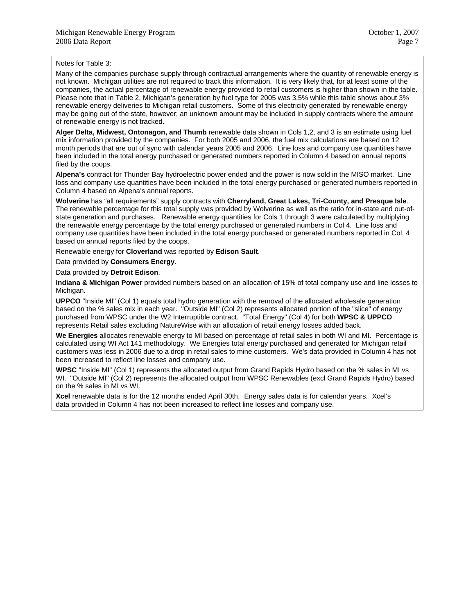Notes for Table 3:

Many of the companies purchase supply through contractual arrangements where the quantity of renewable energy is not known. Michigan utilities are not required to track this information. It is very likely that, for at least some of the companies, the actual percentage of renewable energy provided to retail customers is higher than shown in the table. Please note that in Table 2, Michigan's generation by fuel type for 2005 was 3.5% while this table shows about 3% renewable energy deliveries to Michigan retail customers. Some of this electricity generated by renewable energy may be going out of the state, however; an unknown amount may be included in supply contracts where the amount of renewable energy is not tracked.

**Alger Delta, Midwest, Ontonagon, and Thumb** renewable data shown in Cols 1,2, and 3 is an estimate using fuel mix information provided by the companies. For both 2005 and 2006, the fuel mix calculations are based on 12 month periods that are out of sync with calendar years 2005 and 2006. Line loss and company use quantities have been included in the total energy purchased or generated numbers reported in Column 4 based on annual reports filed by the coops.

**Alpena's** contract for Thunder Bay hydroelectric power ended and the power is now sold in the MISO market. Line loss and company use quantities have been included in the total energy purchased or generated numbers reported in Column 4 based on Alpena's annual reports.

**Wolverine** has "all requirements" supply contracts with **Cherryland, Great Lakes, Tri-County, and Presque Isle**. The renewable percentage for this total supply was provided by Wolverine as well as the ratio for in-state and out-ofstate generation and purchases. Renewable energy quantities for Cols 1 through 3 were calculated by multiplying the renewable energy percentage by the total energy purchased or generated numbers in Col 4. Line loss and company use quantities have been included in the total energy purchased or generated numbers reported in Col. 4 based on annual reports filed by the coops.

Renewable energy for **Cloverland** was reported by **Edison Sault**.

Data provided by **Consumers Energy**.

Data provided by **Detroit Edison**.

**Indiana & Michigan Power** provided numbers based on an allocation of 15% of total company use and line losses to Michigan.

**UPPCO** "Inside MI" (Col 1) equals total hydro generation with the removal of the allocated wholesale generation based on the % sales mix in each year. "Outside MI" (Col 2) represents allocated portion of the "slice" of energy purchased from WPSC under the W2 Interruptible contract. "Total Energy" (Col 4) for both **WPSC & UPPCO** represents Retail sales excluding NatureWise with an allocation of retail energy losses added back.

**We Energies** allocates renewable energy to MI based on percentage of retail sales in both WI and MI. Percentage is calculated using WI Act 141 methodology. We Energies total energy purchased and generated for Michigan retail customers was less in 2006 due to a drop in retail sales to mine customers. We's data provided in Column 4 has not been increased to reflect line losses and company use.

**WPSC** "Inside MI" (Col 1) represents the allocated output from Grand Rapids Hydro based on the % sales in MI vs WI. "Outside MI" (Col 2) represents the allocated output from WPSC Renewables (excl Grand Rapids Hydro) based on the % sales in MI vs WI.

**Xcel** renewable data is for the 12 months ended April 30th. Energy sales data is for calendar years. Xcel's data provided in Column 4 has not been increased to reflect line losses and company use.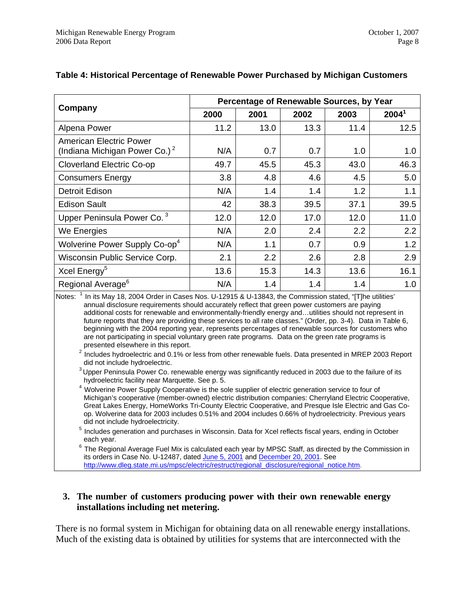|                                                                                                                                                      | Percentage of Renewable Sources, by Year |      |      |      |                   |  |  |  |
|------------------------------------------------------------------------------------------------------------------------------------------------------|------------------------------------------|------|------|------|-------------------|--|--|--|
| Company                                                                                                                                              | 2000                                     | 2001 | 2002 | 2003 | 2004 <sup>1</sup> |  |  |  |
| Alpena Power                                                                                                                                         | 11.2                                     | 13.0 | 13.3 | 11.4 | 12.5              |  |  |  |
| <b>American Electric Power</b><br>(Indiana Michigan Power Co.) <sup>2</sup>                                                                          | N/A                                      | 0.7  | 0.7  | 1.0  | 1.0               |  |  |  |
| <b>Cloverland Electric Co-op</b>                                                                                                                     | 49.7                                     | 45.5 | 45.3 | 43.0 | 46.3              |  |  |  |
| <b>Consumers Energy</b>                                                                                                                              | 3.8                                      | 4.8  | 4.6  | 4.5  | 5.0               |  |  |  |
| <b>Detroit Edison</b>                                                                                                                                | N/A                                      | 1.4  | 1.4  | 1.2  | 1.1               |  |  |  |
| <b>Edison Sault</b>                                                                                                                                  | 42                                       | 38.3 | 39.5 | 37.1 | 39.5              |  |  |  |
| Upper Peninsula Power Co. <sup>3</sup>                                                                                                               | 12.0                                     | 12.0 | 17.0 | 12.0 | 11.0              |  |  |  |
| We Energies                                                                                                                                          | N/A                                      | 2.0  | 2.4  | 2.2  | 2.2               |  |  |  |
| Wolverine Power Supply Co-op <sup>4</sup>                                                                                                            | N/A                                      | 1.1  | 0.7  | 0.9  | 1.2               |  |  |  |
| Wisconsin Public Service Corp.                                                                                                                       | 2.1                                      | 2.2  | 2.6  | 2.8  | 2.9               |  |  |  |
| Xcel Energy <sup>5</sup>                                                                                                                             | 13.6                                     | 15.3 | 14.3 | 13.6 | 16.1              |  |  |  |
| Regional Average <sup>6</sup><br>Notes: <sup>1</sup> la ite May 40, 2004 Order in Cassa Neal 142045 8 1142049, the Commission stated "The utilities" | N/A                                      | 1.4  | 1.4  | 1.4  | 1.0               |  |  |  |

## **Table 4: Historical Percentage of Renewable Power Purchased by Michigan Customers**

Notes: <sup>1</sup> In its May 18, 2004 Order in Cases Nos. U-12915 & U-13843, the Commission stated, "[T]he utilities' annual disclosure requirements should accurately reflect that green power customers are paying additional costs for renewable and environmentally-friendly energy and…utilities should not represent in future reports that they are providing these services to all rate classes." (Order, pp. 3-4). Data in Table 6, beginning with the 2004 reporting year, represents percentages of renewable sources for customers who are not participating in special voluntary green rate programs. Data on the green rate programs is presented elsewhere in this report.

- $2$  Includes hydroelectric and 0.1% or less from other renewable fuels. Data presented in MREP 2003 Report
- did not include hydroelectric.<br><sup>3</sup> Upper Peninsula Power Co. renewable energy was significantly reduced in 2003 due to the failure of its hydroelectric facility near Marquette. See p. 5.
- $4$  Wolverine Power Supply Cooperative is the sole supplier of electric generation service to four of Michigan's cooperative (member-owned) electric distribution companies: Cherryland Electric Cooperative, Great Lakes Energy, HomeWorks Tri-County Electric Cooperative, and Presque Isle Electric and Gas Coop. Wolverine data for 2003 includes 0.51% and 2004 includes 0.66% of hydroelectricity. Previous years did not include hydroelectricity.
- 5 Includes generation and purchases in Wisconsin. Data for Xcel reflects fiscal years, ending in October

each year.<br><sup>6</sup> The Regional Average Fuel Mix is calculated each year by MPSC Staff, as directed by the Commission in its orders in Case No. U-12487, dated [June 5, 2001](http://www.dleg.state.mi.us/mpsc/orders/electric/2001/u-12487c.pdf) and [December 20, 2001.](http://www.dleg.state.mi.us/mpsc/orders/electric/2001/u-12487d.pdf) See [http://www.dleg.state.mi.us/mpsc/electric/restruct/regional\\_disclosure/regional\\_notice.htm](http://www.dleg.state.mi.us/mpsc/electric/restruct/regional_disclosure/regional_notice.htm).

#### **3. The number of customers producing power with their own renewable energy installations including net metering.**

There is no formal system in Michigan for obtaining data on all renewable energy installations. Much of the existing data is obtained by utilities for systems that are interconnected with the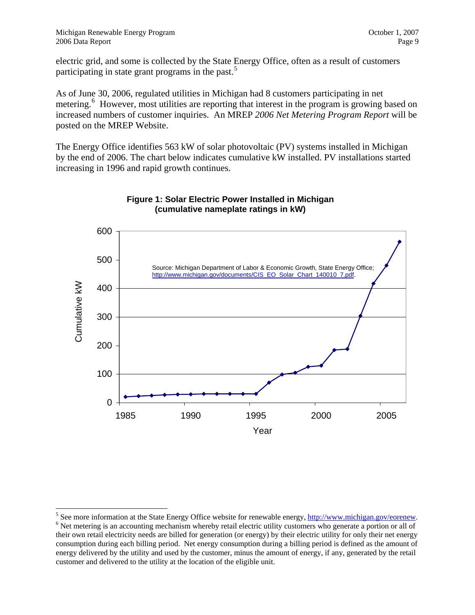<span id="page-8-0"></span>electric grid, and some is collected by the State Energy Office, often as a result of customers participating in state grant programs in the past.<sup>[5](#page-8-0)</sup>

As of June 30, 2006, regulated utilities in Michigan had 8 customers participating in net metering.<sup>[6](#page-8-0)</sup> However, most utilities are reporting that interest in the program is growing based on increased numbers of customer inquiries. An MREP *2006 Net Metering Program Report* will be posted on the MREP Website.

The Energy Office identifies 563 kW of solar photovoltaic (PV) systems installed in Michigan by the end of 2006. The chart below indicates cumulative kW installed. PV installations started increasing in 1996 and rapid growth continues.



#### **Figure 1: Solar Electric Power Installed in Michigan (cumulative nameplate ratings in kW)**

<sup>&</sup>lt;sup>5</sup> See more information at the State Energy Office website for renewable energy, <u><http://www.michigan.gov/eorenew>.</u><br><sup>6</sup> Net metering is an assocutting meghanism whereby rateil electric utility systemary who generate a por  $6$  Net metering is an accounting mechanism whereby retail electric utility customers who generate a portion or all of their own retail electricity needs are billed for generation (or energy) by their electric utility for only their net energy consumption during each billing period. Net energy consumption during a billing period is defined as the amount of energy delivered by the utility and used by the customer, minus the amount of energy, if any, generated by the retail customer and delivered to the utility at the location of the eligible unit.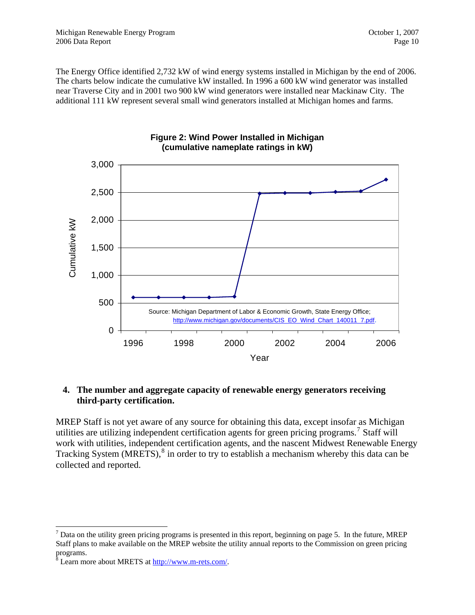<span id="page-9-0"></span>The Energy Office identified 2,732 kW of wind energy systems installed in Michigan by the end of 2006. The charts below indicate the cumulative kW installed. In 1996 a 600 kW wind generator was installed near Traverse City and in 2001 two 900 kW wind generators were installed near Mackinaw City. The additional 111 kW represent several small wind generators installed at Michigan homes and farms.



#### **Figure 2: Wind Power Installed in Michigan (cumulative nameplate ratings in kW)**

# **4. The number and aggregate capacity of renewable energy generators receiving third-party certification.**

MREP Staff is not yet aware of any source for obtaining this data, except insofar as Michigan utilities are utilizing independent certification agents for green pricing programs.<sup>[7](#page-9-0)</sup> Staff will work with utilities, independent certification agents, and the nascent Midwest Renewable Energy Tracking System  $(MRETS)$ ,<sup>[8](#page-9-0)</sup> in order to try to establish a mechanism whereby this data can be collected and reported.

  $<sup>7</sup>$  Data on the utility green pricing programs is presented in this report, beginning on page 5. In the future, MREP</sup> Staff plans to make available on the MREP website the utility annual reports to the Commission on green pricing

programs.<br><sup>8</sup> Learn more about MRETS at <u>http://www.m-rets.com/</u>.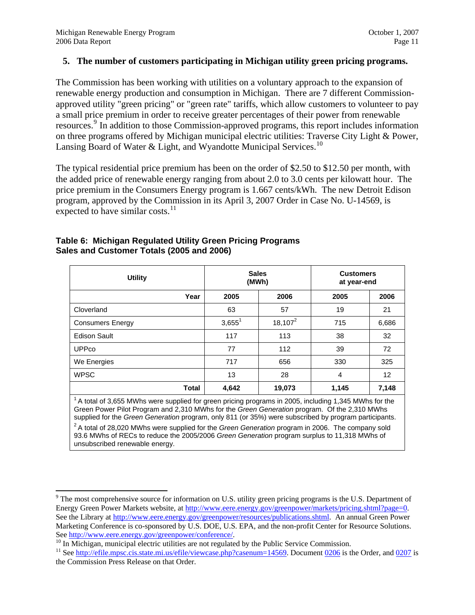#### <span id="page-10-0"></span>**5. The number of customers participating in Michigan utility green pricing programs.**

The Commission has been working with utilities on a voluntary approach to the expansion of renewable energy production and consumption in Michigan. There are 7 different Commissionapproved utility "green pricing" or "green rate" tariffs, which allow customers to volunteer to pay a small price premium in order to receive greater percentages of their power from renewable resources.<sup>[9](#page-10-0)</sup> In addition to those Commission-approved programs, this report includes information on three programs offered by Michigan municipal electric utilities: Traverse City Light & Power, Lansing Board of Water & Light, and Wyandotte Municipal Services.<sup>[10](#page-10-0)</sup>

The typical residential price premium has been on the order of \$2.50 to \$12.50 per month, with the added price of renewable energy ranging from about 2.0 to 3.0 cents per kilowatt hour. The price premium in the Consumers Energy program is 1.667 cents/kWh. The new Detroit Edison program, approved by the Commission in its April 3, 2007 Order in Case No. U-14569, is expected to have similar costs. $11$ 

| <b>Utility</b>          |              | <b>Sales</b><br>(MWh) |            | <b>Customers</b><br>at year-end |       |  |
|-------------------------|--------------|-----------------------|------------|---------------------------------|-------|--|
|                         | Year         | 2005                  | 2006       | 2005                            | 2006  |  |
| Cloverland              |              | 63                    | 57         | 19                              | 21    |  |
| <b>Consumers Energy</b> |              | $3,655^1$             | $18,107^2$ | 715                             | 6,686 |  |
| <b>Edison Sault</b>     |              | 117                   | 113        | 38                              | 32    |  |
| <b>UPPco</b>            |              | 77                    | 112        | 39                              | 72    |  |
| We Energies             |              | 717                   | 656        | 330                             | 325   |  |
| <b>WPSC</b>             |              | 13                    | 28         | 4                               | 12    |  |
|                         | <b>Total</b> | 4,642                 | 19,073     | 1,145                           | 7,148 |  |

#### **Table 6: Michigan Regulated Utility Green Pricing Programs Sales and Customer Totals (2005 and 2006)**

 $14$  A total of 3,655 MWhs were supplied for green pricing programs in 2005, including 1,345 MWhs for the Green Power Pilot Program and 2,310 MWhs for the *Green Generation* program. Of the 2,310 MWhs supplied for the *Green Generation* program, only 811 (or 35%) were subscribed by program participants.<br><sup>2</sup> A total of 28,020 MWhs were supplied for the *Green Generation* program in 2006. The company sold

93.6 MWhs of RECs to reduce the 2005/2006 *Green Generation* program surplus to 11,318 MWhs of unsubscribed renewable energy.

 $9$ <sup>9</sup> The most comprehensive source for information on U.S. utility green pricing programs is the U.S. Department of Energy Green Power Markets website, at [http://www.eere.energy.gov/greenpower/markets/pricing.shtml?page=0.](http://www.eere.energy.gov/greenpower/markets/pricing.shtml?page=0) See the Library at [http://www.eere.energy.gov/greenpower/resources/publications.shtml.](http://www.eere.energy.gov/greenpower/resources/publications.shtml) An annual Green Power Marketing Conference is co-sponsored by U.S. DOE, U.S. EPA, and the non-profit Center for Resource Solutions. See <http://www.eere.energy.gov/greenpower/conference/>.<br><sup>10</sup> In [Michigan, municipal electric utilities are not regulated by the Public S](http://efile.mpsc.cis.state.mi.us/efile/viewcase.php?casenum=14569)ervice Co[mmissi](http://efile.mpsc.cis.state.mi.us/efile/docs/14569/0206.pdf)on.<br><sup>11</sup> See http://efile.mpsc.cis.state.mi.us/efile/viewcase.php?casenu

the Commission Press Release on that Order.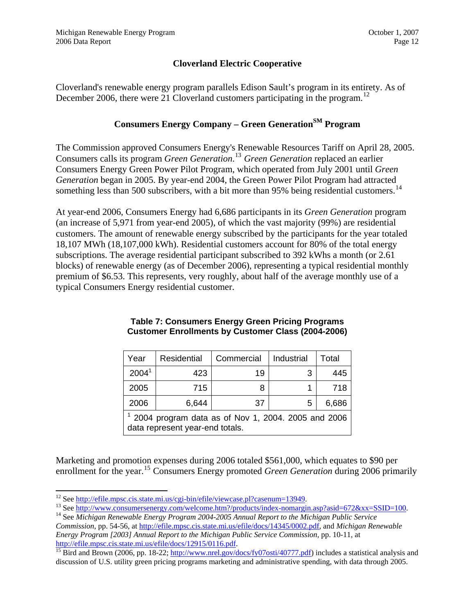# **Cloverland Electric Cooperative**

<span id="page-11-0"></span>Cloverland's renewable energy program parallels Edison Sault's program in its entirety. As of December 2006, there were 21 Cloverland customers participating in the program.<sup>[12](#page-11-0)</sup>

# **Consumers Energy Company – Green Generation**<sup>SM</sup> Program

The Commission approved Consumers Energy's Renewable Resources Tariff on April 28, 2005. Consumers calls its program *Green Generation*. [13](#page-11-0) *Green Generation* replaced an earlier Consumers Energy Green Power Pilot Program, which operated from July 2001 until *Green Generation* began in 2005. By year-end 2004, the Green Power Pilot Program had attracted something less than 500 subscribers, with a bit more than 95% being residential customers.<sup>[14](#page-11-0)</sup>

At year-end 2006, Consumers Energy had 6,686 participants in its *Green Generation* program (an increase of 5,971 from year-end 2005), of which the vast majority (99%) are residential customers. The amount of renewable energy subscribed by the participants for the year totaled 18,107 MWh (18,107,000 kWh). Residential customers account for 80% of the total energy subscriptions. The average residential participant subscribed to 392 kWhs a month (or 2.61 blocks) of renewable energy (as of December 2006), representing a typical residential monthly premium of \$6.53. This represents, very roughly, about half of the average monthly use of a typical Consumers Energy residential customer.

| Year                                                                                  | Residential | Commercial | Industrial | Total |  |
|---------------------------------------------------------------------------------------|-------------|------------|------------|-------|--|
| 2004 <sup>1</sup>                                                                     | 423         | 19         | 3          | 445   |  |
| 2005                                                                                  | 715         |            |            | 718   |  |
| 2006                                                                                  | 6,644       | 37         | 5          | 6,686 |  |
| 2004 program data as of Nov 1, 2004. 2005 and 2006<br>data represent year-end totals. |             |            |            |       |  |

#### **Table 7: Consumers Energy Green Pricing Programs Customer Enrollments by Customer Class (2004-2006)**

Marketing and promotion expenses during 2006 totaled \$561,000, which equates to \$90 per enrollment for the year.<sup>[15](#page-11-0)</sup> Consumers Energy promoted *Green Generation* during 2006 primarily

<sup>&</sup>lt;sup>12</sup> See http://efile.mpsc.cis.state.mi.us/cgi-bin/efile/viewcase.pl?casenum=13949.

<sup>&</sup>lt;sup>13</sup> See [http://www.consumersenergy.com/welcome.htm?/products/index-nomargin.asp?asid=672&xx=SSID=100.](http://www.consumersenergy.com/welcome.htm?/products/index-nomargin.asp?asid=672&xx=SSID=100)<br><sup>14</sup> See Michigan Renewable Energy Program 2004-2005 Annual Report to the Michigan Public Service

*Commission*, pp. 54-56, at [http://efile.mpsc.cis.state.mi.us/efile/docs/14345/0002.pdf,](http://efile.mpsc.cis.state.mi.us/efile/docs/14345/0002.pdf) and *Michigan Renewable Energy Program [2003] Annual Report to the Michigan Public Service Commission*, pp. 10-11, at

<http://efile.mpsc.cis.state.mi.us/efile/docs/12915/0116.pdf>.<br><sup>15</sup> Bird and Brown (2006, pp[.](http://www.nrel.gov/docs/fy07osti/40777.pdf) 18-22; <http://www.nrel.gov/docs/fy07osti/40777.pdf>) includes a statistical analysis and discussion of U.S. utility green pricing programs marketing and administrative spending, with data through 2005.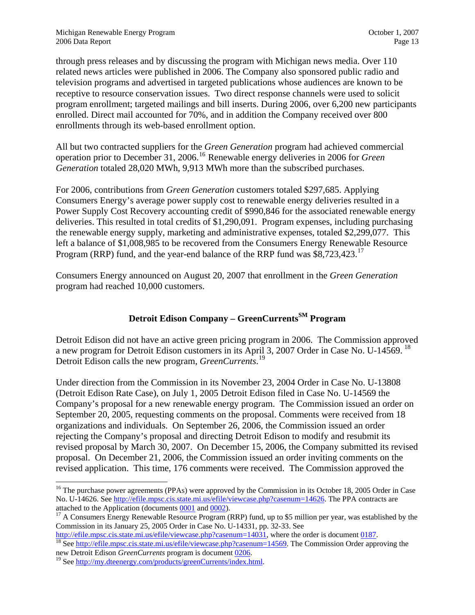<span id="page-12-0"></span>through press releases and by discussing the program with Michigan news media. Over 110 related news articles were published in 2006. The Company also sponsored public radio and television programs and advertised in targeted publications whose audiences are known to be receptive to resource conservation issues. Two direct response channels were used to solicit program enrollment; targeted mailings and bill inserts. During 2006, over 6,200 new participants enrolled. Direct mail accounted for 70%, and in addition the Company received over 800 enrollments through its web-based enrollment option.

All but two contracted suppliers for the *Green Generation* program had achieved commercial operation prior to December 31, 2006.[16](#page-12-0) Renewable energy deliveries in 2006 for *Green Generation* totaled 28,020 MWh, 9,913 MWh more than the subscribed purchases.

For 2006, contributions from *Green Generation* customers totaled \$297,685. Applying Consumers Energy's average power supply cost to renewable energy deliveries resulted in a Power Supply Cost Recovery accounting credit of \$990,846 for the associated renewable energy deliveries. This resulted in total credits of \$1,290,091. Program expenses, including purchasing the renewable energy supply, marketing and administrative expenses, totaled \$2,299,077. This left a balance of \$1,008,985 to be recovered from the Consumers Energy Renewable Resource Program (RRP) fund, and the year-end balance of the RRP fund was \$8,723,423.<sup>[17](#page-12-0)</sup>

Consumers Energy announced on August 20, 2007 that enrollment in the *Green Generation* program had reached 10,000 customers.

# **Detroit Edison Company – GreenCurrents**SM Program

Detroit Edison did not have an active green pricing program in 2006. The Commission approved a new program for Detroit Edison customers in its April 3, 2007 Order in Case No. U-14569. <sup>[18](#page-12-0)</sup> Detroit Edison calls the new program, *GreenCurrents*. [19](#page-12-0)

Under direction from the Commission in its November 23, 2004 Order in Case No. U-13808 (Detroit Edison Rate Case), on July 1, 2005 Detroit Edison filed in Case No. U-14569 the Company's proposal for a new renewable energy program. The Commission issued an order on September 20, 2005, requesting comments on the proposal. Comments were received from 18 organizations and individuals. On September 26, 2006, the Commission issued an order rejecting the Company's proposal and directing Detroit Edison to modify and resubmit its revised proposal by March 30, 2007. On December 15, 2006, the Company submitted its revised proposal. On December 21, 2006, the Commission issued an order inviting comments on the revised application. This time, 176 comments were received. The Commission approved the

<sup>&</sup>lt;sup>16</sup> The purchase power agreements (PPAs) were approved by the Commission in its October 18, 2005 Order in Case No. U-14626. See <u><http://efile.mpsc.cis.state.mi.us/efile/viewcase.php?casenum=14626></u>. The PPA contracts are attached to the Application (documents 0001 and 0002).

 $17$  A Consumers Energy Renewable Resource Program (RRP) fund, up to \$5 million per year, was established by the Commission in its January 25, 2005 Order in Case No. U-14331, pp. 32-33. See

[http://efile.mpsc.cis.state.mi.us/efile/viewcase.php?casenum=14031,](http://efile.mpsc.cis.state.mi.us/efile/viewcase.php?casenum=14031) [where](http://efile.mpsc.cis.state.mi.us/efile/viewcase.php?casenum=14569) the order is document [0187](http://efile.mpsc.cis.state.mi.us/efile/docs/14031/0187.pdf).<br><sup>[18](http://efile.mpsc.cis.state.mi.us/efile/viewcase.php?casenum=14031)</sup> See http://ef<u>ile.mpsc.cis.state.mi.us/efile/viewcase.php?casenum=14569</u>. The Commission Order approving the

newDetroit Edison *GreenCurrents* [program is document](http://my.dteenergy.com/products/greenCurrents/index.html) <u>0206</u>.<br><sup>19</sup> See [http://my.dteenergy.com/products/greenCurrents/index.html.](http://my.dteenergy.com/products/greenCurrents/index.html)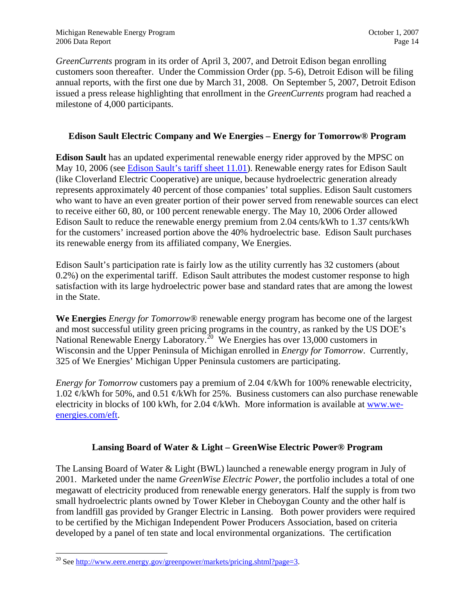<span id="page-13-0"></span>*GreenCurrents* program in its order of April 3, 2007, and Detroit Edison began enrolling customers soon thereafter. Under the Commission Order (pp. 5-6), Detroit Edison will be filing annual reports, with the first one due by March 31, 2008. On September 5, 2007, Detroit Edison issued a press release highlighting that enrollment in the *GreenCurrents* program had reached a milestone of 4,000 participants.

# **Edison Sault Electric Company and We Energies – Energy for Tomorrow® Program**

**Edison Sault** has an updated experimental renewable energy rider approved by the MPSC on May 10, 2006 (see [Edison Sault's tariff sheet 11.01\)](http://www.dleg.state.mi.us/mpsc/electric/ratebooks/edisonsault/edisonsault8cur.pdf). Renewable energy rates for Edison Sault (like Cloverland Electric Cooperative) are unique, because hydroelectric generation already represents approximately 40 percent of those companies' total supplies. Edison Sault customers who want to have an even greater portion of their power served from renewable sources can elect to receive either 60, 80, or 100 percent renewable energy. The May 10, 2006 Order allowed Edison Sault to reduce the renewable energy premium from 2.04 cents/kWh to 1.37 cents/kWh for the customers' increased portion above the 40% hydroelectric base. Edison Sault purchases its renewable energy from its affiliated company, We Energies.

Edison Sault's participation rate is fairly low as the utility currently has 32 customers (about 0.2%) on the experimental tariff. Edison Sault attributes the modest customer response to high satisfaction with its large hydroelectric power base and standard rates that are among the lowest in the State.

**We Energies** *Energy for Tomorrow®* renewable energy program has become one of the largest and most successful utility green pricing programs in the country, as ranked by the US DOE's National Renewable Energy Laboratory.<sup>[20](#page-13-0)</sup> We Energies has over 13,000 customers in Wisconsin and the Upper Peninsula of Michigan enrolled in *Energy for Tomorrow*. Currently, 325 of We Energies' Michigan Upper Peninsula customers are participating.

*Energy for Tomorrow* customers pay a premium of 2.04  $\phi$ /kWh for 100% renewable electricity, 1.02  $\varphi$ /kWh for 50%, and 0.51  $\varphi$ /kWh for 25%. Business customers can also purchase renewable electricity in blocks of 100 kWh, for 2.04  $\phi$ /kWh. More information is available at [www.we](http://www.we-energies.com/eft)[energies.com/eft.](http://www.we-energies.com/eft)

#### **Lansing Board of Water & Light – GreenWise Electric Power® Program**

The Lansing Board of Water & Light (BWL) launched a renewable energy program in July of 2001. Marketed under the name *GreenWise Electric Power*, the portfolio includes a total of one megawatt of electricity produced from renewable energy generators. Half the supply is from two small hydroelectric plants owned by Tower Kleber in Cheboygan County and the other half is from landfill gas provided by Granger Electric in Lansing. Both power providers were required to be certified by the Michigan Independent Power Producers Association, based on criteria developed by a panel of ten state and local environmental organizations. The certification

<sup>&</sup>lt;sup>20</sup> See <http://www.eere.energy.gov/greenpower/markets/pricing.shtml?page=3>.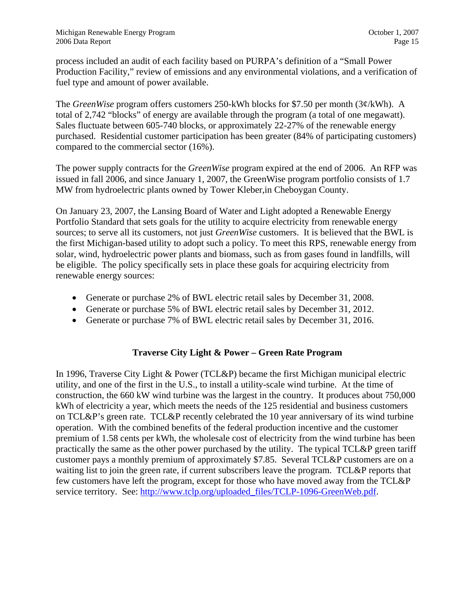process included an audit of each facility based on PURPA's definition of a "Small Power Production Facility," review of emissions and any environmental violations, and a verification of fuel type and amount of power available.

The *GreenWise* program offers customers 250-kWh blocks for \$7.50 per month (3¢/kWh). A total of 2,742 "blocks" of energy are available through the program (a total of one megawatt). Sales fluctuate between 605-740 blocks, or approximately 22-27% of the renewable energy purchased. Residential customer participation has been greater (84% of participating customers) compared to the commercial sector (16%).

The power supply contracts for the *GreenWise* program expired at the end of 2006. An RFP was issued in fall 2006, and since January 1, 2007, the GreenWise program portfolio consists of 1.7 MW from hydroelectric plants owned by Tower Kleber,in Cheboygan County.

On January 23, 2007, the Lansing Board of Water and Light adopted a Renewable Energy Portfolio Standard that sets goals for the utility to acquire electricity from renewable energy sources; to serve all its customers, not just *GreenWise* customers. It is believed that the BWL is the first Michigan-based utility to adopt such a policy. To meet this RPS, renewable energy from solar, wind, hydroelectric power plants and biomass, such as from gases found in landfills, will be eligible. The policy specifically sets in place these goals for acquiring electricity from renewable energy sources:

- Generate or purchase 2% of BWL electric retail sales by December 31, 2008.
- Generate or purchase 5% of BWL electric retail sales by December 31, 2012.
- Generate or purchase 7% of BWL electric retail sales by December 31, 2016.

# **Traverse City Light & Power – Green Rate Program**

In 1996, Traverse City Light & Power (TCL&P) became the first Michigan municipal electric utility, and one of the first in the U.S., to install a utility-scale wind turbine. At the time of construction, the 660 kW wind turbine was the largest in the country. It produces about 750,000 kWh of electricity a year, which meets the needs of the 125 residential and business customers on TCL&P's green rate. TCL&P recently celebrated the 10 year anniversary of its wind turbine operation. With the combined benefits of the federal production incentive and the customer premium of 1.58 cents per kWh, the wholesale cost of electricity from the wind turbine has been practically the same as the other power purchased by the utility. The typical TCL&P green tariff customer pays a monthly premium of approximately \$7.85. Several TCL&P customers are on a waiting list to join the green rate, if current subscribers leave the program. TCL&P reports that few customers have left the program, except for those who have moved away from the TCL&P service territory. See: [http://www.tclp.org/uploaded\\_files/TCLP-1096-GreenWeb.pdf](http://www.tclp.org/uploaded_files/TCLP-1096-GreenWeb.pdf).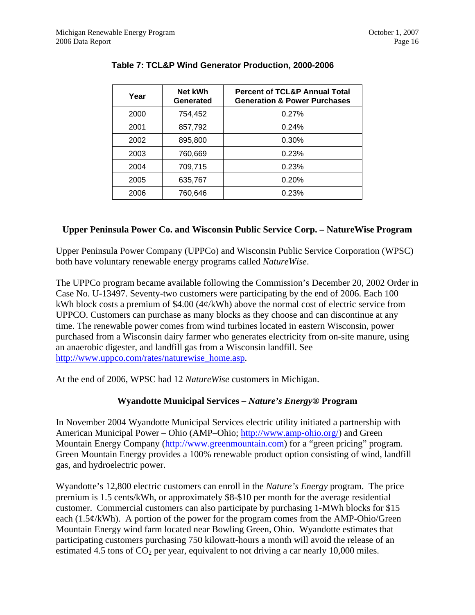| Year | Net kWh<br>Generated | <b>Percent of TCL&amp;P Annual Total</b><br><b>Generation &amp; Power Purchases</b> |
|------|----------------------|-------------------------------------------------------------------------------------|
| 2000 | 754,452              | 0.27%                                                                               |
| 2001 | 857,792              | 0.24%                                                                               |
| 2002 | 895,800              | 0.30%                                                                               |
| 2003 | 760,669              | 0.23%                                                                               |
| 2004 | 709,715              | 0.23%                                                                               |
| 2005 | 635,767              | 0.20%                                                                               |
| 2006 | 760,646              | 0.23%                                                                               |

# **Table 7: TCL&P Wind Generator Production, 2000-2006**

# **Upper Peninsula Power Co. and Wisconsin Public Service Corp. – NatureWise Program**

Upper Peninsula Power Company (UPPCo) and Wisconsin Public Service Corporation (WPSC) both have voluntary renewable energy programs called *NatureWise*.

The UPPCo program became available following the Commission's December 20, 2002 Order in Case No. U-13497. Seventy-two customers were participating by the end of 2006. Each 100 kWh block costs a premium of \$4.00 ( $4\phi$ /kWh) above the normal cost of electric service from UPPCO. Customers can purchase as many blocks as they choose and can discontinue at any time. The renewable power comes from wind turbines located in eastern Wisconsin, power purchased from a Wisconsin dairy farmer who generates electricity from on-site manure, using an anaerobic digester, and landfill gas from a Wisconsin landfill. See [http://www.uppco.com/rates/naturewise\\_home.asp.](http://www.uppco.com/rates/naturewise_home.asp)

At the end of 2006, WPSC had 12 *NatureWise* customers in Michigan.

# **Wyandotte Municipal Services –** *Nature's Energy®* **Program**

In November 2004 Wyandotte Municipal Services electric utility initiated a partnership with American Municipal Power – Ohio (AMP–Ohio; [http://www.amp-ohio.org/\)](http://www.amp-ohio.org/) and Green Mountain Energy Company ([http://www.greenmountain.com](http://www.greenmountain.com/)) for a "green pricing" program. Green Mountain Energy provides a 100% renewable product option consisting of wind, landfill gas, and hydroelectric power.

Wyandotte's 12,800 electric customers can enroll in the *Nature's Energy* program. The price premium is 1.5 cents/kWh, or approximately \$8-\$10 per month for the average residential customer. Commercial customers can also participate by purchasing 1-MWh blocks for \$15 each (1.5¢/kWh). A portion of the power for the program comes from the AMP-Ohio/Green Mountain Energy wind farm located near Bowling Green, Ohio. Wyandotte estimates that participating customers purchasing 750 kilowatt-hours a month will avoid the release of an estimated 4.5 tons of  $CO<sub>2</sub>$  per year, equivalent to not driving a car nearly 10,000 miles.